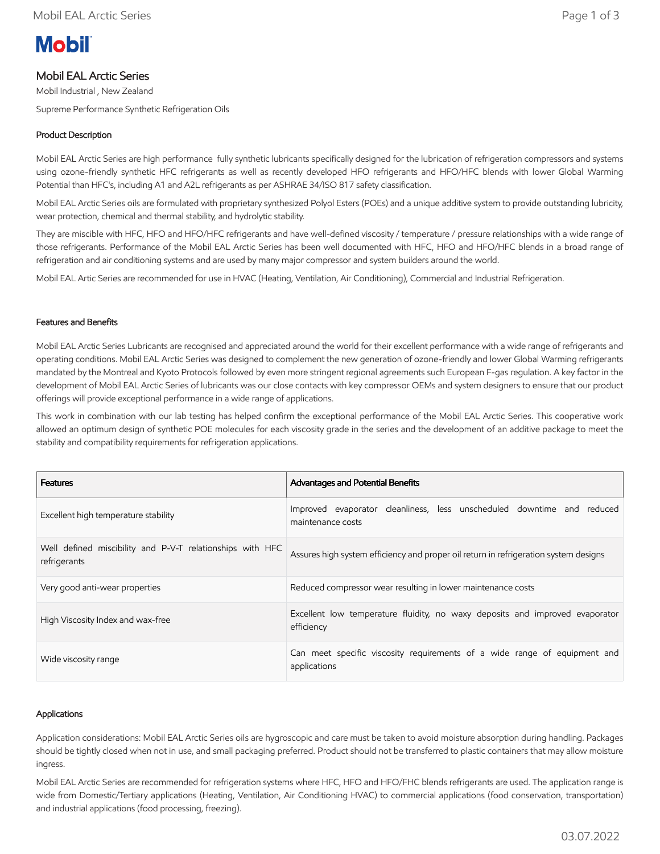# **Mobil**

## Mobil EAL Arctic Series

Mobil Industrial , New Zealand

Supreme Performance Synthetic Refrigeration Oils

### Product Description

Mobil EAL Arctic Series are high performance fully synthetic lubricants specifically designed for the lubrication of refrigeration compressors and systems using ozone-friendly synthetic HFC refrigerants as well as recently developed HFO refrigerants and HFO/HFC blends with lower Global Warming Potential than HFC's, including A1 and A2L refrigerants as per ASHRAE 34/ISO 817 safety classification.

Mobil EAL Arctic Series oils are formulated with proprietary synthesized Polyol Esters (POEs) and a unique additive system to provide outstanding lubricity, wear protection, chemical and thermal stability, and hydrolytic stability.

They are miscible with HFC, HFO and HFO/HFC refrigerants and have well-defined viscosity / temperature / pressure relationships with a wide range of those refrigerants. Performance of the Mobil EAL Arctic Series has been well documented with HFC, HFO and HFO/HFC blends in a broad range of refrigeration and air conditioning systems and are used by many major compressor and system builders around the world.

Mobil EAL Artic Series are recommended for use in HVAC (Heating, Ventilation, Air Conditioning), Commercial and Industrial Refrigeration.

#### Features and Benefits

Mobil EAL Arctic Series Lubricants are recognised and appreciated around the world for their excellent performance with a wide range of refrigerants and operating conditions. Mobil EAL Arctic Series was designed to complement the new generation of ozone-friendly and lower Global Warming refrigerants mandated by the Montreal and Kyoto Protocols followed by even more stringent regional agreements such European F-gas regulation. A key factor in the development of Mobil EAL Arctic Series of lubricants was our close contacts with key compressor OEMs and system designers to ensure that our product offerings will provide exceptional performance in a wide range of applications.

This work in combination with our lab testing has helped confirm the exceptional performance of the Mobil EAL Arctic Series. This cooperative work allowed an optimum design of synthetic POE molecules for each viscosity grade in the series and the development of an additive package to meet the stability and compatibility requirements for refrigeration applications.

| <b>Features</b>                                                           | <b>Advantages and Potential Benefits</b>                                                    |
|---------------------------------------------------------------------------|---------------------------------------------------------------------------------------------|
| Excellent high temperature stability                                      | Improved evaporator cleanliness, less unscheduled downtime and reduced<br>maintenance costs |
| Well defined miscibility and P-V-T relationships with HFC<br>refrigerants | Assures high system efficiency and proper oil return in refrigeration system designs        |
| Very good anti-wear properties                                            | Reduced compressor wear resulting in lower maintenance costs                                |
| High Viscosity Index and wax-free                                         | Excellent low temperature fluidity, no waxy deposits and improved evaporator<br>efficiency  |
| Wide viscosity range                                                      | Can meet specific viscosity requirements of a wide range of equipment and<br>applications   |

#### Applications

Application considerations: Mobil EAL Arctic Series oils are hygroscopic and care must be taken to avoid moisture absorption during handling. Packages should be tightly closed when not in use, and small packaging preferred. Product should not be transferred to plastic containers that may allow moisture ingress.

Mobil EAL Arctic Series are recommended for refrigeration systems where HFC, HFO and HFO/FHC blends refrigerants are used. The application range is wide from Domestic/Tertiary applications (Heating, Ventilation, Air Conditioning HVAC) to commercial applications (food conservation, transportation) and industrial applications (food processing, freezing).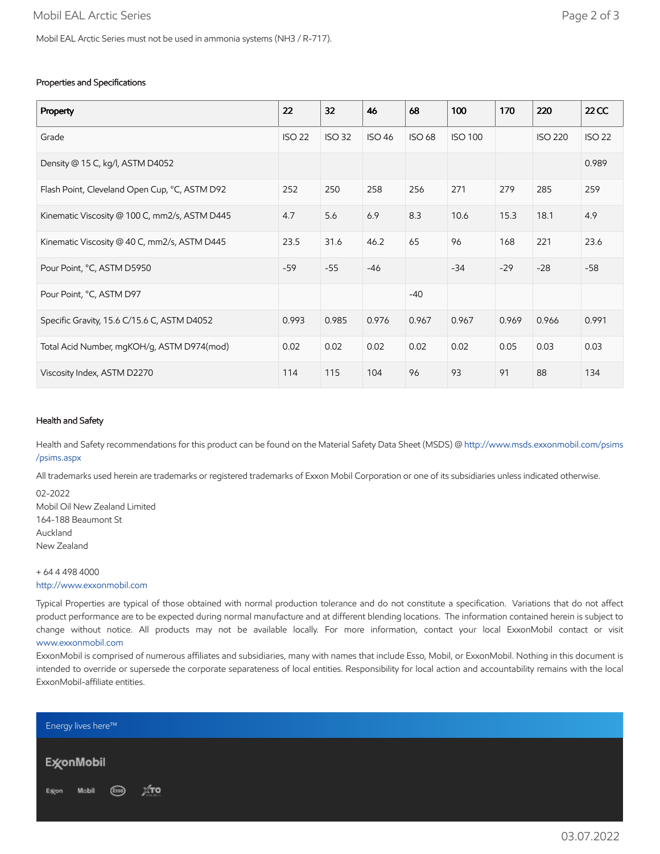#### Properties and Specifications

| Property                                      | 22            | 32            | 46            | 68            | 100            | 170   | 220            | $22$ CC       |
|-----------------------------------------------|---------------|---------------|---------------|---------------|----------------|-------|----------------|---------------|
| Grade                                         | <b>ISO 22</b> | <b>ISO 32</b> | <b>ISO 46</b> | <b>ISO 68</b> | <b>ISO 100</b> |       | <b>ISO 220</b> | <b>ISO 22</b> |
| Density @ 15 C, kg/l, ASTM D4052              |               |               |               |               |                |       |                | 0.989         |
| Flash Point, Cleveland Open Cup, °C, ASTM D92 | 252           | 250           | 258           | 256           | 271            | 279   | 285            | 259           |
| Kinematic Viscosity @ 100 C, mm2/s, ASTM D445 | 4.7           | 5.6           | 6.9           | 8.3           | 10.6           | 15.3  | 18.1           | 4.9           |
| Kinematic Viscosity @ 40 C, mm2/s, ASTM D445  | 23.5          | 31.6          | 46.2          | 65            | 96             | 168   | 221            | 23.6          |
| Pour Point, °C, ASTM D5950                    | $-59$         | $-55$         | $-46$         |               | $-34$          | $-29$ | $-28$          | $-58$         |
| Pour Point, °C, ASTM D97                      |               |               |               | $-40$         |                |       |                |               |
| Specific Gravity, 15.6 C/15.6 C, ASTM D4052   | 0.993         | 0.985         | 0.976         | 0.967         | 0.967          | 0.969 | 0.966          | 0.991         |
| Total Acid Number, mgKOH/g, ASTM D974(mod)    | 0.02          | 0.02          | 0.02          | 0.02          | 0.02           | 0.05  | 0.03           | 0.03          |
| Viscosity Index, ASTM D2270                   | 114           | 115           | 104           | 96            | 93             | 91    | 88             | 134           |

#### Health and Safety

Health and Safety recommendations for this product can be found on the Material Safety Data Sheet (MSDS) @ [http://www.msds.exxonmobil.com/psims](http://www.msds.exxonmobil.com/psims/psims.aspx) /psims.aspx

All trademarks used herein are trademarks or registered trademarks of Exxon Mobil Corporation or one of its subsidiaries unless indicated otherwise.

02-2022 Mobil Oil New Zealand Limited 164-188 Beaumont St Auckland New Zealand

+ 64 4 498 4000 [http://www.exxonmobil.com](http://www.exxonmobil.com/)

Typical Properties are typical of those obtained with normal production tolerance and do not constitute a specification. Variations that do not affect product performance are to be expected during normal manufacture and at different blending locations. The information contained herein is subject to change without notice. All products may not be available locally. For more information, contact your local ExxonMobil contact or visit [www.exxonmobil.com](http://www.exxonmobil.com/)

ExxonMobil is comprised of numerous affiliates and subsidiaries, many with names that include Esso, Mobil, or ExxonMobil. Nothing in this document is intended to override or supersede the corporate separateness of local entities. Responsibility for local action and accountability remains with the local ExxonMobil-affiliate entities.